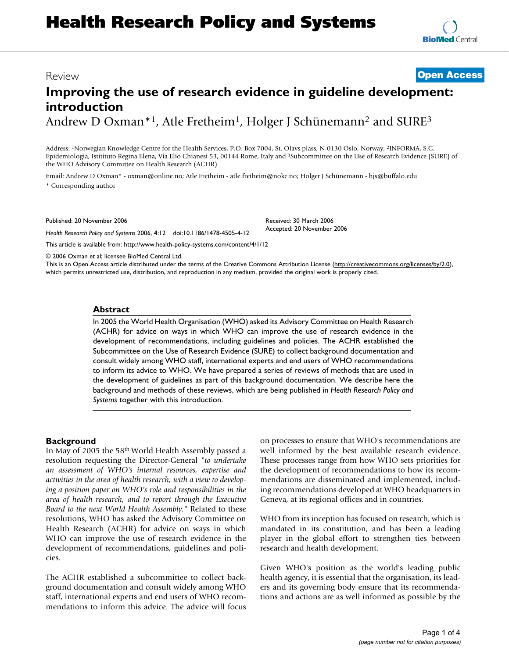# **Health Research Policy and Systems**

# Review **[Open Access](http://www.biomedcentral.com/info/about/charter/)**

# **Improving the use of research evidence in guideline development: introduction** Andrew D Oxman<sup>\*1</sup>, Atle Fretheim<sup>1</sup>, Holger J Schünemann<sup>2</sup> and SURE<sup>3</sup>

Address: 1Norwegian Knowledge Centre for the Health Services, P.O. Box 7004, St. Olavs plass, N-0130 Oslo, Norway, 2INFORMA, S.C. Epidemiologia, Istitituto Regina Elena, Via Elio Chianesi 53, 00144 Rome, Italy and 3Subcommittee on the Use of Research Evidence (SURE) of the WHO Advisory Committee on Health Research (ACHR)

Email: Andrew D Oxman\* - oxman@online.no; Atle Fretheim - atle.fretheim@nokc.no; Holger J Schünemann - hjs@buffalo.edu \* Corresponding author

Published: 20 November 2006

*Health Research Policy and Systems* 2006, **4**:12 doi:10.1186/1478-4505-4-12

[This article is available from: http://www.health-policy-systems.com/content/4/1/12](http://www.health-policy-systems.com/content/4/1/12)

© 2006 Oxman et al; licensee BioMed Central Ltd.

This is an Open Access article distributed under the terms of the Creative Commons Attribution License [\(http://creativecommons.org/licenses/by/2.0\)](http://creativecommons.org/licenses/by/2.0), which permits unrestricted use, distribution, and reproduction in any medium, provided the original work is properly cited.

## **Abstract**

In 2005 the World Health Organisation (WHO) asked its Advisory Committee on Health Research (ACHR) for advice on ways in which WHO can improve the use of research evidence in the development of recommendations, including guidelines and policies. The ACHR established the Subcommittee on the Use of Research Evidence (SURE) to collect background documentation and consult widely among WHO staff, international experts and end users of WHO recommendations to inform its advice to WHO. We have prepared a series of reviews of methods that are used in the development of guidelines as part of this background documentation. We describe here the background and methods of these reviews, which are being published in *Health Research Policy and Systems* together with this introduction.

# **Background**

In May of 2005 the 58th World Health Assembly passed a resolution requesting the Director-General *"to undertake an assessment of WHO's internal resources, expertise and activities in the area of health research, with a view to developing a position paper on WHO's role and responsibilities in the area of health research, and to report through the Executive Board to the next World Health Assembly."* Related to these resolutions, WHO has asked the Advisory Committee on Health Research (ACHR) for advice on ways in which WHO can improve the use of research evidence in the development of recommendations, guidelines and policies.

The ACHR established a subcommittee to collect background documentation and consult widely among WHO staff, international experts and end users of WHO recommendations to inform this advice. The advice will focus on processes to ensure that WHO's recommendations are well informed by the best available research evidence. These processes range from how WHO sets priorities for the development of recommendations to how its recommendations are disseminated and implemented, including recommendations developed at WHO headquarters in Geneva, at its regional offices and in countries.

WHO from its inception has focused on research, which is mandated in its constitution, and has been a leading player in the global effort to strengthen ties between research and health development.

Given WHO's position as the world's leading public health agency, it is essential that the organisation, its leaders and its governing body ensure that its recommendations and actions are as well informed as possible by the



# Received: 30 March 2006 Accepted: 20 November 2006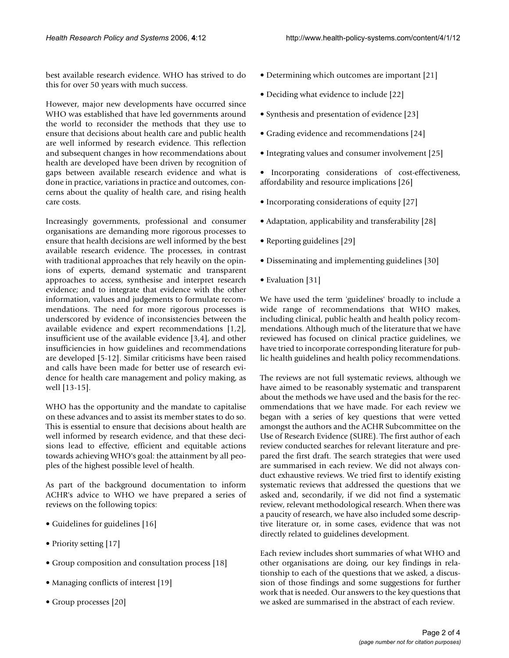best available research evidence. WHO has strived to do this for over 50 years with much success.

However, major new developments have occurred since WHO was established that have led governments around the world to reconsider the methods that they use to ensure that decisions about health care and public health are well informed by research evidence. This reflection and subsequent changes in how recommendations about health are developed have been driven by recognition of gaps between available research evidence and what is done in practice, variations in practice and outcomes, concerns about the quality of health care, and rising health care costs.

Increasingly governments, professional and consumer organisations are demanding more rigorous processes to ensure that health decisions are well informed by the best available research evidence. The processes, in contrast with traditional approaches that rely heavily on the opinions of experts, demand systematic and transparent approaches to access, synthesise and interpret research evidence; and to integrate that evidence with the other information, values and judgements to formulate recommendations. The need for more rigorous processes is underscored by evidence of inconsistencies between the available evidence and expert recommendations [1,2], insufficient use of the available evidence [3,4], and other insufficiencies in how guidelines and recommendations are developed [5-12]. Similar criticisms have been raised and calls have been made for better use of research evidence for health care management and policy making, as well [13-15].

WHO has the opportunity and the mandate to capitalise on these advances and to assist its member states to do so. This is essential to ensure that decisions about health are well informed by research evidence, and that these decisions lead to effective, efficient and equitable actions towards achieving WHO's goal: the attainment by all peoples of the highest possible level of health.

As part of the background documentation to inform ACHR's advice to WHO we have prepared a series of reviews on the following topics:

- Guidelines for guidelines [16]
- Priority setting [17]
- Group composition and consultation process [18]
- Managing conflicts of interest [19]
- Group processes [20]
- Determining which outcomes are important [21]
- Deciding what evidence to include [22]
- Synthesis and presentation of evidence [23]
- Grading evidence and recommendations [24]
- Integrating values and consumer involvement [25]

• Incorporating considerations of cost-effectiveness, affordability and resource implications [26]

- Incorporating considerations of equity [27]
- Adaptation, applicability and transferability [28]
- Reporting guidelines [29]
- Disseminating and implementing guidelines [30]
- Evaluation [31]

We have used the term 'guidelines' broadly to include a wide range of recommendations that WHO makes, including clinical, public health and health policy recommendations. Although much of the literature that we have reviewed has focused on clinical practice guidelines, we have tried to incorporate corresponding literature for public health guidelines and health policy recommendations.

The reviews are not full systematic reviews, although we have aimed to be reasonably systematic and transparent about the methods we have used and the basis for the recommendations that we have made. For each review we began with a series of key questions that were vetted amongst the authors and the ACHR Subcommittee on the Use of Research Evidence (SURE). The first author of each review conducted searches for relevant literature and prepared the first draft. The search strategies that were used are summarised in each review. We did not always conduct exhaustive reviews. We tried first to identify existing systematic reviews that addressed the questions that we asked and, secondarily, if we did not find a systematic review, relevant methodological research. When there was a paucity of research, we have also included some descriptive literature or, in some cases, evidence that was not directly related to guidelines development.

Each review includes short summaries of what WHO and other organisations are doing, our key findings in relationship to each of the questions that we asked, a discussion of those findings and some suggestions for further work that is needed. Our answers to the key questions that we asked are summarised in the abstract of each review.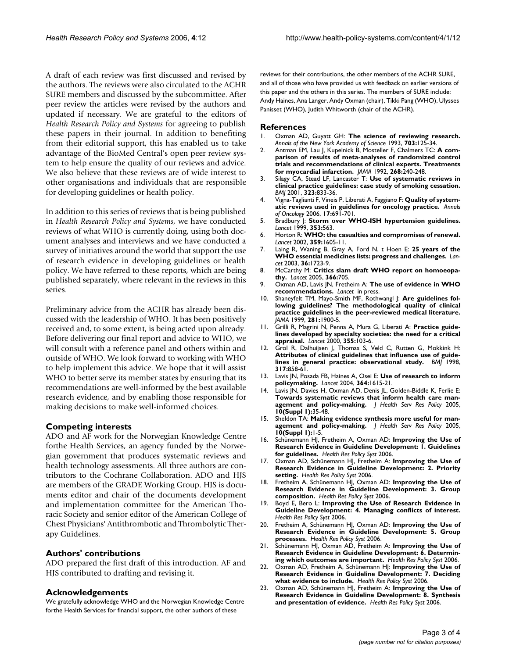A draft of each review was first discussed and revised by the authors. The reviews were also circulated to the ACHR SURE members and discussed by the subcommittee. After peer review the articles were revised by the authors and updated if necessary. We are grateful to the editors of *Health Research Policy and Systems* for agreeing to publish these papers in their journal. In addition to benefiting from their editorial support, this has enabled us to take advantage of the BioMed Central's open peer review system to help ensure the quality of our reviews and advice. We also believe that these reviews are of wide interest to other organisations and individuals that are responsible for developing guidelines or health policy.

In addition to this series of reviews that is being published in *Health Research Policy and Systems*, we have conducted reviews of what WHO is currently doing, using both document analyses and interviews and we have conducted a survey of initiatives around the world that support the use of research evidence in developing guidelines or health policy. We have referred to these reports, which are being published separately, where relevant in the reviews in this series.

Preliminary advice from the ACHR has already been discussed with the leadership of WHO. It has been positively received and, to some extent, is being acted upon already. Before delivering our final report and advice to WHO, we will consult with a reference panel and others within and outside of WHO. We look forward to working with WHO to help implement this advice. We hope that it will assist WHO to better serve its member states by ensuring that its recommendations are well-informed by the best available research evidence, and by enabling those responsible for making decisions to make well-informed choices.

#### **Competing interests**

ADO and AF work for the Norwegian Knowledge Centre forthe Health Services, an agency funded by the Norwegian government that produces systematic reviews and health technology assessments. All three authors are contributors to the Cochrane Collaboration. ADO and HJS are members of the GRADE Working Group. HJS is documents editor and chair of the documents development and implementation committee for the American Thoracic Society and senior editor of the American College of Chest Physicians' Antithrombotic and Thrombolytic Therapy Guidelines.

# **Authors' contributions**

ADO prepared the first draft of this introduction. AF and HJS contributed to drafting and revising it.

### **Acknowledgements**

We gratefully acknowledge WHO and the Norwegian Knowledge Centre forthe Health Services for financial support, the other authors of these

reviews for their contributions, the other members of the ACHR SURE, and all of those who have provided us with feedback on earlier versions of this paper and the others in this series. The members of SURE include: Andy Haines, Ana Langer, Andy Oxman (chair), Tikki Pang (WHO), Ulysses Panisset (WHO), Judith Whitworth (chair of the ACHR).

#### **References**

- 1. Oxman AD, Guyatt GH: **The science of reviewing research.** *Annals of the New York Academy of Science* 1993, **703:**125-34.
- 2. Antman EM, Lau J, Kupelnick B, Mosteller F, Chalmers TC: **[A com](http://www.ncbi.nlm.nih.gov/entrez/query.fcgi?cmd=Retrieve&db=PubMed&dopt=Abstract&list_uids=1535110)parison of results of meta-analyses of randomized control [trials and recommendations of clinical experts. Treatments](http://www.ncbi.nlm.nih.gov/entrez/query.fcgi?cmd=Retrieve&db=PubMed&dopt=Abstract&list_uids=1535110) [for myocardial infarction.](http://www.ncbi.nlm.nih.gov/entrez/query.fcgi?cmd=Retrieve&db=PubMed&dopt=Abstract&list_uids=1535110)** *JAMA* 1992, **268:**240-248.
- 3. Silagy CA, Stead LF, Lancaster T: **[Use of systematic reviews in](http://www.ncbi.nlm.nih.gov/entrez/query.fcgi?cmd=Retrieve&db=PubMed&dopt=Abstract&list_uids=11597966) [clinical practice guidelines: case study of smoking cessation.](http://www.ncbi.nlm.nih.gov/entrez/query.fcgi?cmd=Retrieve&db=PubMed&dopt=Abstract&list_uids=11597966)** *BMJ* 2001, **323:**833-36.
- 4. Vigna-Taglianti F, Vineis P, Liberati A, Faggiano F: **[Quality of system](http://www.ncbi.nlm.nih.gov/entrez/query.fcgi?cmd=Retrieve&db=PubMed&dopt=Abstract&list_uids=16461333)[atic reviews used in guidelines for oncology practice.](http://www.ncbi.nlm.nih.gov/entrez/query.fcgi?cmd=Retrieve&db=PubMed&dopt=Abstract&list_uids=16461333)** *Annals of Oncology* 2006, **17:**691-701.
- 5. Bradbury J: **Storm over WHO-ISH hypertension guidelines.** *Lancet* 1999, **353:**563.
- 6. Horton R: **[WHO: the casualties and compromises of renewal.](http://www.ncbi.nlm.nih.gov/entrez/query.fcgi?cmd=Retrieve&db=PubMed&dopt=Abstract&list_uids=12047986)** *Lancet* 2002, **359:**1605-11.
- 7. Laing R, Waning B, Gray A, Ford N, t Hoen E: **25 years of the WHO essential medicines lists: progress and challenges.** *Lancet* 2003, **36:**1723-9.
- 8. McCarthy M: **[Critics slam draft WHO report on homoeopa](http://www.ncbi.nlm.nih.gov/entrez/query.fcgi?cmd=Retrieve&db=PubMed&dopt=Abstract&list_uids=16130229)[thy.](http://www.ncbi.nlm.nih.gov/entrez/query.fcgi?cmd=Retrieve&db=PubMed&dopt=Abstract&list_uids=16130229)** *Lancet* 2005, **366:**705.
- 9. Oxman AD, Lavis JN, Fretheim A: **The use of evidence in WHO recommendations.** *Lancet* in press.
- 10. Shaneyfelt TM, Mayo-Smith MF, Rothwangl J: **[Are guidelines fol](http://www.ncbi.nlm.nih.gov/entrez/query.fcgi?cmd=Retrieve&db=PubMed&dopt=Abstract&list_uids=10349893)lowing guidelines? The methodological quality of clinical [practice guidelines in the peer-reviewed medical literature.](http://www.ncbi.nlm.nih.gov/entrez/query.fcgi?cmd=Retrieve&db=PubMed&dopt=Abstract&list_uids=10349893)** *JAMA* 1999, **281:**1900-5.
- 11. Grilli R, Magrini N, Penna A, Mura G, Liberati A: **[Practice guide](http://www.ncbi.nlm.nih.gov/entrez/query.fcgi?cmd=Retrieve&db=PubMed&dopt=Abstract&list_uids=10675167)[lines developed by specialty societies: the need for a critical](http://www.ncbi.nlm.nih.gov/entrez/query.fcgi?cmd=Retrieve&db=PubMed&dopt=Abstract&list_uids=10675167) [appraisal.](http://www.ncbi.nlm.nih.gov/entrez/query.fcgi?cmd=Retrieve&db=PubMed&dopt=Abstract&list_uids=10675167)** *Lancet* 2000, **355:**103-6.
- 12. Grol R, Dalhuijsen J, Thomas S, Veld C, Rutten G, Mokkink H: **[Attributes of clinical guidelines that influence use of guide](http://www.ncbi.nlm.nih.gov/entrez/query.fcgi?cmd=Retrieve&db=PubMed&dopt=Abstract&list_uids=9748183)[lines in general practice: observational study.](http://www.ncbi.nlm.nih.gov/entrez/query.fcgi?cmd=Retrieve&db=PubMed&dopt=Abstract&list_uids=9748183)** *BMJ* 1998, **317:**858-61.
- 13. Lavis JN, Posada FB, Haines A, Osei E: **[Use of research to inform](http://www.ncbi.nlm.nih.gov/entrez/query.fcgi?cmd=Retrieve&db=PubMed&dopt=Abstract&list_uids=15519634) [policymaking.](http://www.ncbi.nlm.nih.gov/entrez/query.fcgi?cmd=Retrieve&db=PubMed&dopt=Abstract&list_uids=15519634)** *Lancet* 2004, **364:**1615-21.
- 14. Lavis JN, Davies H, Oxman AD, Denis JL, Golden-Biddle K, Ferlie E: **[Towards systematic reviews that inform health care man](http://www.ncbi.nlm.nih.gov/entrez/query.fcgi?cmd=Retrieve&db=PubMed&dopt=Abstract&list_uids=16053582)[agement and policy-making.](http://www.ncbi.nlm.nih.gov/entrez/query.fcgi?cmd=Retrieve&db=PubMed&dopt=Abstract&list_uids=16053582)** *J Health Serv Res Policy* 2005, **10(Suppl 1):**35-48.
- 15. Sheldon TA: **[Making evidence synthesis more useful for man](http://www.ncbi.nlm.nih.gov/entrez/query.fcgi?cmd=Retrieve&db=PubMed&dopt=Abstract&list_uids=16053579)[agement and policy-making.](http://www.ncbi.nlm.nih.gov/entrez/query.fcgi?cmd=Retrieve&db=PubMed&dopt=Abstract&list_uids=16053579)** *J Health Serv Res Policy* 2005, **10(Suppl 1):**1-5.
- 16. Schünemann HJ, Fretheim A, Oxman AD: **Improving the Use of Research Evidence in Guideline Development: 1. Guidelines for guidelines.** *Health Res Policy Syst* 2006.
- 17. Oxman AD, Schünemann HJ, Fretheim A: **Improving the Use of Research Evidence in Guideline Development: 2. Priority setting.** *Health Res Policy Syst* 2006.
- 18. Fretheim A, Schünemann HJ, Oxman AD: **Improving the Use of Research Evidence in Guideline Development: 3. Group composition.** *Health Res Policy Syst* 2006.
- 19. Boyd E, Bero L: **Improving the Use of Research Evidence in Guideline Development: 4. Managing conflicts of interest.** *Health Res Policy Syst* 2006.
- 20. Fretheim A, Schünemann HJ, Oxman AD: **Improving the Use of Research Evidence in Guideline Development: 5. Group processes.** *Health Res Policy Syst* 2006.
- 21. Schünemann HJ, Oxman AD, Fretheim A: **Improving the Use of Research Evidence in Guideline Development: 6. Determining which outcomes are important.** *Health Res Policy Syst* 2006.
- 22. Oxman AD, Fretheim A, Schünemann HJ: **Improving the Use of Research Evidence in Guideline Development: 7. Deciding what evidence to include.** *Health Res Policy Syst* 2006.
- 23. Oxman AD, Schünemann HJ, Fretheim A: **Improving the Use of Research Evidence in Guideline Development: 8. Synthesis and presentation of evidence.** *Health Res Policy Syst* 2006.